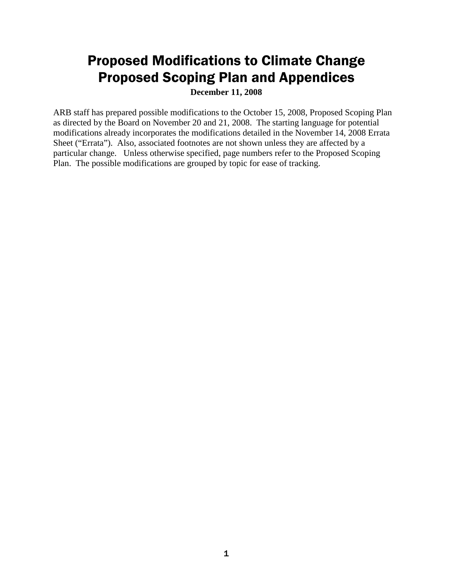# Proposed Modifications to Climate Change Proposed Scoping Plan and Appendices

**December 11, 2008** 

 ARB staff has prepared possible modifications to the October 15, 2008, Proposed Scoping Plan as directed by the Board on November 20 and 21, 2008. The starting language for potential modifications already incorporates the modifications detailed in the November 14, 2008 Errata Sheet ("Errata"). Also, associated footnotes are not shown unless they are affected by a particular change. Unless otherwise specified, page numbers refer to the Proposed Scoping Plan. The possible modifications are grouped by topic for ease of tracking.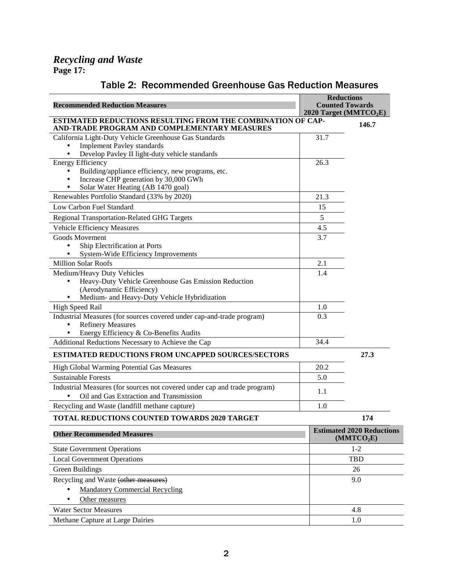| <b>Recommended Reduction Measures</b>                                                                                                                                          |            | <b>Reductions</b><br><b>Counted Towards</b><br>2020 Target (MMTCO <sub>2</sub> E) |  |
|--------------------------------------------------------------------------------------------------------------------------------------------------------------------------------|------------|-----------------------------------------------------------------------------------|--|
| ESTIMATED REDUCTIONS RESULTING FROM THE COMBINATION OF CAP-<br>AND-TRADE PROGRAM AND COMPLEMENTARY MEASURES                                                                    | 146.7      |                                                                                   |  |
| California Light-Duty Vehicle Greenhouse Gas Standards<br><b>Implement Pavley standards</b><br>$\bullet$<br>Develop Pavley II light-duty vehicle standards<br>$\bullet$        | 31.7       |                                                                                   |  |
| <b>Energy Efficiency</b><br>Building/appliance efficiency, new programs, etc.<br>Increase CHP generation by 30,000 GWh<br>$\bullet$<br>Solar Water Heating (AB 1470 goal)<br>٠ | 26.3       |                                                                                   |  |
| Renewables Portfolio Standard (33% by 2020)                                                                                                                                    | 21.3       |                                                                                   |  |
| Low Carbon Fuel Standard                                                                                                                                                       | 15         |                                                                                   |  |
| <b>Regional Transportation-Related GHG Targets</b>                                                                                                                             | $\sqrt{5}$ |                                                                                   |  |
| Vehicle Efficiency Measures                                                                                                                                                    | 4.5        |                                                                                   |  |
| <b>Goods Movement</b><br>Ship Electrification at Ports<br>$\bullet$<br>System-Wide Efficiency Improvements                                                                     | 3.7        |                                                                                   |  |
| <b>Million Solar Roofs</b>                                                                                                                                                     | 2.1        |                                                                                   |  |
| Medium/Heavy Duty Vehicles<br>Heavy-Duty Vehicle Greenhouse Gas Emission Reduction<br>$\bullet$<br>(Aerodynamic Efficiency)<br>Medium- and Heavy-Duty Vehicle Hybridization    | 1.4        |                                                                                   |  |
| High Speed Rail                                                                                                                                                                | 1.0        |                                                                                   |  |
| Industrial Measures (for sources covered under cap-and-trade program)<br><b>Refinery Measures</b><br>$\bullet$<br>Energy Efficiency & Co-Benefits Audits                       | 0.3        |                                                                                   |  |
| Additional Reductions Necessary to Achieve the Cap                                                                                                                             | 34.4       |                                                                                   |  |
| ESTIMATED REDUCTIONS FROM UNCAPPED SOURCES/SECTORS                                                                                                                             | 27.3       |                                                                                   |  |
| High Global Warming Potential Gas Measures                                                                                                                                     | 20.2       |                                                                                   |  |
| <b>Sustainable Forests</b>                                                                                                                                                     | 5.0        |                                                                                   |  |
| Industrial Measures (for sources not covered under cap and trade program)<br>Oil and Gas Extraction and Transmission                                                           | 1.1        |                                                                                   |  |
| Recycling and Waste (landfill methane capture)                                                                                                                                 | 1.0        |                                                                                   |  |
| <b>TOTAL REDUCTIONS COUNTED TOWARDS 2020 TARGET</b>                                                                                                                            |            | 174                                                                               |  |
| <b>Other Recommended Measures</b>                                                                                                                                              |            | <b>Estimated 2020 Reductions</b><br>(MMTCO <sub>2</sub> E)                        |  |
| <b>State Government Operations</b>                                                                                                                                             |            | $1 - 2$                                                                           |  |
| <b>Local Government Operations</b>                                                                                                                                             |            | <b>TBD</b>                                                                        |  |
| <b>Green Buildings</b>                                                                                                                                                         |            | 26                                                                                |  |
| Recycling and Waste (other measures)<br><b>Mandatory Commercial Recycling</b>                                                                                                  |            | 9.0                                                                               |  |

## Table 2: Recommended Greenhouse Gas Reduction Measures

 $\overline{\phantom{0}}$  $\overline{\phantom{a}}$ • Other measures Water Sector Measures 4.8 Methane Capture at Large Dairies 1.0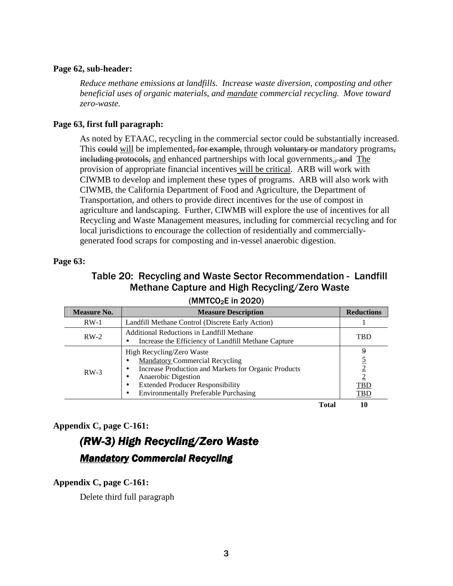#### **Page 62, sub-header:**

*Reduce methane emissions at landfills. Increase waste diversion, composting and other beneficial uses of organic materials, and mandate commercial recycling. Move toward zero-waste.* 

#### **Page 63, first full paragraph:**

 CIWMB, the California Department of Food and Agriculture, the Department of Recycling and Waste Management measures, including for commercial recycling and for As noted by ETAAC, recycling in the commercial sector could be substantially increased. This could will be implemented, for example, through voluntary or mandatory programs, including protocols, and enhanced partnerships with local governments., and The provision of appropriate financial incentives will be critical. ARB will work with CIWMB to develop and implement these types of programs. ARB will also work with Transportation, and others to provide direct incentives for the use of compost in agriculture and landscaping. Further, CIWMB will explore the use of incentives for all local jurisdictions to encourage the collection of residentially and commerciallygenerated food scraps for composting and in-vessel anaerobic digestion.

#### **Page 63:**

# Table 20: Recycling and Waste Sector Recommendation - Landfill Methane Capture and High Recycling/Zero Waste

| <b>Measure No.</b> | <b>Measure Description</b>                                                                                                                                                                                                                                                            |       | <b>Reductions</b>                               |
|--------------------|---------------------------------------------------------------------------------------------------------------------------------------------------------------------------------------------------------------------------------------------------------------------------------------|-------|-------------------------------------------------|
| $RW-1$             | Landfill Methane Control (Discrete Early Action)                                                                                                                                                                                                                                      |       |                                                 |
| $RW-2$             | Additional Reductions in Landfill Methane<br>Increase the Efficiency of Landfill Methane Capture                                                                                                                                                                                      |       | <b>TBD</b>                                      |
| $RW-3$             | High Recycling/Zero Waste<br><b>Mandatory Commercial Recycling</b><br>$\bullet$<br>Increase Production and Markets for Organic Products<br>٠<br>Anaerobic Digestion<br>٠<br><b>Extended Producer Responsibility</b><br>٠<br><b>Environmentally Preferable Purchasing</b><br>$\bullet$ |       | 9<br>$\overline{2}$<br><b>TBD</b><br><u>TBD</u> |
|                    |                                                                                                                                                                                                                                                                                       | Total | 10                                              |

## $(MMTCO<sub>2</sub>E$  in 2020)

#### **Appendix C, page C-161:**

# (RW-3) High Recycling/Zero Waste (RW-3) High Recycling/Zero Waste Mandatory Commercial Recycling Mandatory Commercial Recycling

#### **Appendix C, page C-161:**

Delete third full paragraph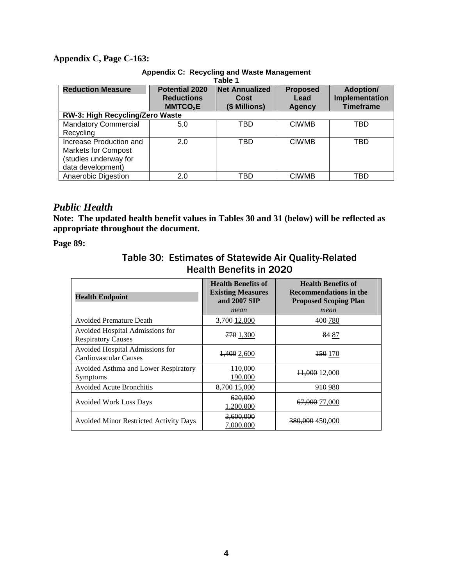#### **Appendix C, Page C-163:**

| Table 1                         |                                            |                               |                         |                                    |
|---------------------------------|--------------------------------------------|-------------------------------|-------------------------|------------------------------------|
| <b>Reduction Measure</b>        | <b>Potential 2020</b><br><b>Reductions</b> | <b>Net Annualized</b><br>Cost | <b>Proposed</b><br>Lead | <b>Adoption/</b><br>Implementation |
|                                 | MMTCO <sub>2</sub> E                       | (\$ Millions)                 | <b>Agency</b>           | <b>Timeframe</b>                   |
| RW-3: High Recycling/Zero Waste |                                            |                               |                         |                                    |
| <b>Mandatory Commercial</b>     | 5.0                                        | TBD                           | <b>CIWMB</b>            | TBD                                |
| Recycling                       |                                            |                               |                         |                                    |
| Increase Production and         | 2.0                                        | TBD                           | <b>CIWMB</b>            | TBD                                |
| <b>Markets for Compost</b>      |                                            |                               |                         |                                    |
| (studies underway for           |                                            |                               |                         |                                    |
| data development)               |                                            |                               |                         |                                    |
| Anaerobic Digestion             | 2.0                                        | TBD                           | <b>CIWMB</b>            | TBD                                |

### **Appendix C: Recycling and Waste Management**

## *Public Health*

 **Note: The updated health benefit values in Tables 30 and 31 (below) will be reflected as appropriate throughout the document.** 

 **Page 89:** 

## Table 30: Estimates of Statewide Air Quality-Related Health Benefits in 2020

| <b>Health Endpoint</b>                                       | <b>Health Benefits of</b><br><b>Existing Measures</b><br>and 2007 SIP<br>mean | <b>Health Benefits of</b><br><b>Recommendations in the</b><br><b>Proposed Scoping Plan</b><br>mean |
|--------------------------------------------------------------|-------------------------------------------------------------------------------|----------------------------------------------------------------------------------------------------|
| <b>Avoided Premature Death</b>                               | 3,700 12,000                                                                  | 400 780                                                                                            |
| Avoided Hospital Admissions for<br><b>Respiratory Causes</b> | 770 1,300                                                                     | 84 87                                                                                              |
| Avoided Hospital Admissions for<br>Cardiovascular Causes     | 1,400 2,600                                                                   | 150 170                                                                                            |
| Avoided Asthma and Lower Respiratory<br>Symptoms             | <del>110,000</del><br>190,000                                                 | 11,000 12,000                                                                                      |
| <b>Avoided Acute Bronchitis</b>                              | 8,700 15,000                                                                  | 910 980                                                                                            |
| <b>Avoided Work Loss Days</b>                                | 620,000<br>1,200,000                                                          | <del>67,000</del> 77,000                                                                           |
| <b>Avoided Minor Restricted Activity Days</b>                | 3,600,000<br>7,000,000                                                        | <del>380,000</del> 450,000                                                                         |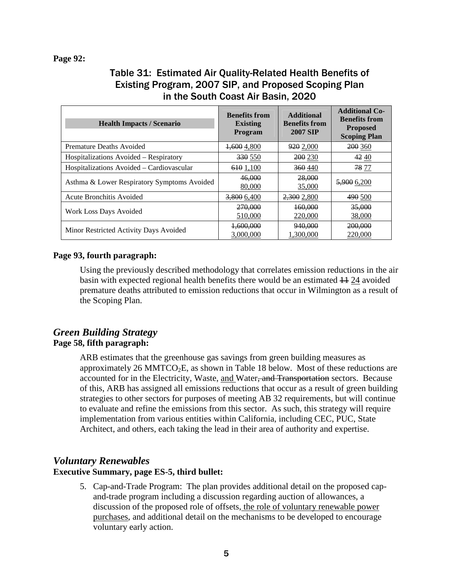#### **Page 92:**

## Table 31: Estimated Air Quality-Related Health Benefits of Existing Program, 2007 SIP, and Proposed Scoping Plan in the South Coast Air Basin, 2020

| <b>Health Impacts / Scenario</b>            | <b>Benefits from</b><br><b>Existing</b><br><b>Program</b> | <b>Additional</b><br><b>Benefits from</b><br><b>2007 SIP</b> | <b>Additional Co-</b><br><b>Benefits from</b><br><b>Proposed</b><br><b>Scoping Plan</b> |
|---------------------------------------------|-----------------------------------------------------------|--------------------------------------------------------------|-----------------------------------------------------------------------------------------|
| Premature Deaths Avoided                    | <del>1,600</del> 4,800                                    | 920 2,000                                                    | 200 360                                                                                 |
| Hospitalizations Avoided – Respiratory      | 330 550                                                   | 200 230                                                      | 4240                                                                                    |
| Hospitalizations Avoided – Cardiovascular   | 610 1,100                                                 | 360440                                                       | 78 77                                                                                   |
| Asthma & Lower Respiratory Symptoms Avoided | 46,000<br>80,000                                          | 28,000<br>35,000                                             | 5,900 6,200                                                                             |
| Acute Bronchitis Avoided                    | 3,800 6,400                                               | 2,300 2,800                                                  | 490 500                                                                                 |
| Work Loss Days Avoided                      | 270,000<br>510,000                                        | 160,000<br>220,000                                           | 35,000<br>38,000                                                                        |
| Minor Restricted Activity Days Avoided      | 1,600,000<br>3,000,000                                    | 940,000<br>1,300,000                                         | 200,000<br>220,000                                                                      |

#### **Page 93, fourth paragraph:**

 Using the previously described methodology that correlates emission reductions in the air basin with expected regional health benefits there would be an estimated  $\frac{11}{24}$  avoided premature deaths attributed to emission reductions that occur in Wilmington as a result of the Scoping Plan.

## *Green Building Strategy*   **Page 58, fifth paragraph:**

 ARB estimates that the greenhouse gas savings from green building measures as approximately 26 MMTCO<sub>2</sub>E, as shown in Table 18 below. Most of these reductions are accounted for in the Electricity, Waste, and Water<del>, and Transportation</del> sectors. Because of this, ARB has assigned all emissions reductions that occur as a result of green building strategies to other sectors for purposes of meeting AB 32 requirements, but will continue to evaluate and refine the emissions from this sector. As such, this strategy will require implementation from various entities within California, including CEC, PUC, State Architect, and others, each taking the lead in their area of authority and expertise.

## *Voluntary Renewables*

#### **Executive Summary, page ES-5, third bullet:**

 5. Cap-and-Trade Program: The plan provides additional detail on the proposed cap- and-trade program including a discussion regarding auction of allowances, a discussion of the proposed role of offsets, the role of voluntary renewable power purchases, and additional detail on the mechanisms to be developed to encourage voluntary early action.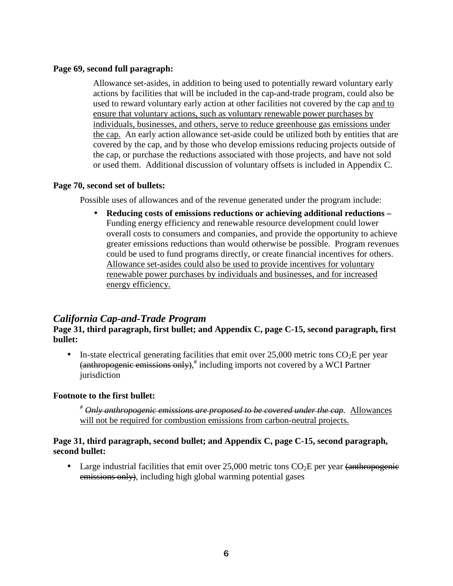#### **Page 69, second full paragraph:**

 Allowance set-asides, in addition to being used to potentially reward voluntary early actions by facilities that will be included in the cap-and-trade program, could also be used to reward voluntary early action at other facilities not covered by the cap and to ensure that voluntary actions, such as voluntary renewable power purchases by individuals, businesses, and others, serve to reduce greenhouse gas emissions under the cap. An early action allowance set-aside could be utilized both by entities that are covered by the cap, and by those who develop emissions reducing projects outside of the cap, or purchase the reductions associated with those projects, and have not sold or used them. Additional discussion of voluntary offsets is included in Appendix C.

#### **Page 70, second set of bullets:**

Possible uses of allowances and of the revenue generated under the program include:

 • **Reducing costs of emissions reductions or achieving additional reductions –**  Funding energy efficiency and renewable resource development could lower overall costs to consumers and companies, and provide the opportunity to achieve greater emissions reductions than would otherwise be possible. Program revenues could be used to fund programs directly, or create financial incentives for others. Allowance set-asides could also be used to provide incentives for voluntary renewable power purchases by individuals and businesses, and for increased energy efficiency.

## *California Cap-and-Trade Program*

**Page 31, third paragraph, first bullet; and Appendix C, page C-15, second paragraph, first bullet:** 

• In-state electrical generating facilities that emit over  $25,000$  metric tons  $CO<sub>2</sub>E$  per year (anthropogenic emissions only), # including imports not covered by a WCI Partner jurisdiction

#### **Footnote to the first bullet:**

 *# Only anthropogenic emissions are proposed to be covered under the cap.* Allowances will not be required for combustion emissions from carbon-neutral projects.

#### Page 31, third paragraph, second bullet; and Appendix C, page C-15, second paragraph,  **second bullet:**

• Large industrial facilities that emit over  $25,000$  metric tons  $CO<sub>2</sub>E$  per year (anthropogenic emissions only), including high global warming potential gases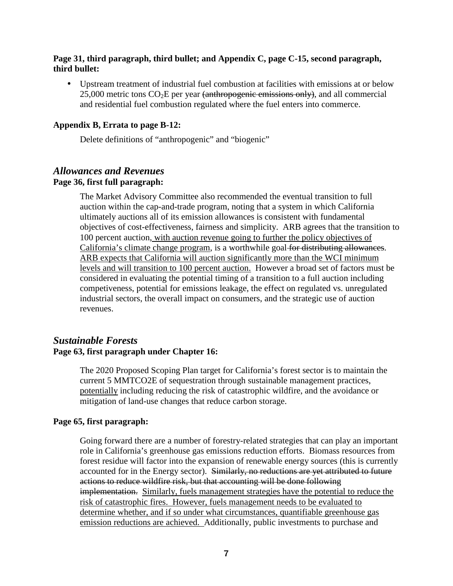#### **Page 31, third paragraph, third bullet; and Appendix C, page C-15, second paragraph, third bullet:**

 • Upstream treatment of industrial fuel combustion at facilities with emissions at or below  $25,000$  metric tons  $CO<sub>2</sub>E$  per year <del>(anthropogenic emissions only)</del>, and all commercial and residential fuel combustion regulated where the fuel enters into commerce.

#### **Appendix B, Errata to page B-12:**

Delete definitions of "anthropogenic" and "biogenic"

#### *Allowances and Revenues*  **Page 36, first full paragraph:**

 The Market Advisory Committee also recommended the eventual transition to full auction within the cap-and-trade program, noting that a system in which California ultimately auctions all of its emission allowances is consistent with fundamental objectives of cost-effectiveness, fairness and simplicity. ARB agrees that the transition to 100 percent auction, with auction revenue going to further the policy objectives of California's climate change program, is a worthwhile goal for distributing allowances. ARB expects that California will auction significantly more than the WCI minimum levels and will transition to 100 percent auction. However a broad set of factors must be considered in evaluating the potential timing of a transition to a full auction including competiveness, potential for emissions leakage, the effect on regulated vs. unregulated industrial sectors, the overall impact on consumers, and the strategic use of auction revenues.

## *Sustainable Forests*   **Page 63, first paragraph under Chapter 16:**

 The 2020 Proposed Scoping Plan target for California's forest sector is to maintain the current 5 MMTCO2E of sequestration through sustainable management practices, potentially including reducing the risk of catastrophic wildfire, and the avoidance or mitigation of land-use changes that reduce carbon storage.

### **Page 65, first paragraph:**

 Going forward there are a number of forestry-related strategies that can play an important role in California's greenhouse gas emissions reduction efforts. Biomass resources from forest residue will factor into the expansion of renewable energy sources (this is currently accounted for in the Energy sector). Similarly, no reductions are yet attributed to future actions to reduce wildfire risk, but that accounting will be done following implementation. Similarly, fuels management strategies have the potential to reduce the risk of catastrophic fires. However, fuels management needs to be evaluated to determine whether, and if so under what circumstances, quantifiable greenhouse gas emission reductions are achieved. Additionally, public investments to purchase and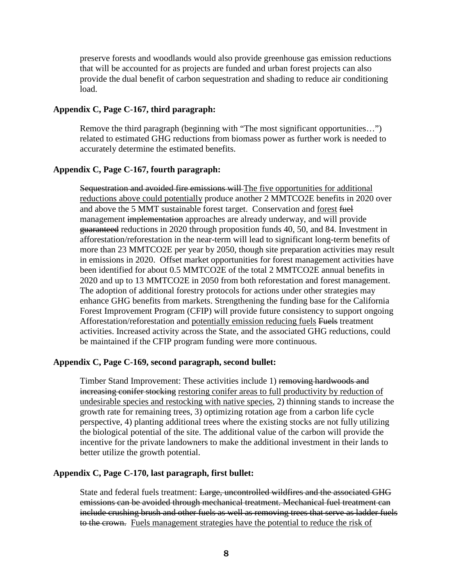preserve forests and woodlands would also provide greenhouse gas emission reductions that will be accounted for as projects are funded and urban forest projects can also provide the dual benefit of carbon sequestration and shading to reduce air conditioning load.

#### **Appendix C, Page C-167, third paragraph:**

 Remove the third paragraph (beginning with "The most significant opportunities…") related to estimated GHG reductions from biomass power as further work is needed to accurately determine the estimated benefits.

#### **Appendix C, Page C-167, fourth paragraph:**

Sequestration and avoided fire emissions will The five opportunities for additional reductions above could potentially produce another 2 MMTCO2E benefits in 2020 over and above the 5 MMT sustainable forest target. Conservation and forest fuel management implementation approaches are already underway, and will provide guaranteed reductions in 2020 through proposition funds 40, 50, and 84. Investment in afforestation/reforestation in the near-term will lead to significant long-term benefits of more than 23 MMTCO2E per year by 2050, though site preparation activities may result in emissions in 2020. Offset market opportunities for forest management activities have been identified for about 0.5 MMTCO2E of the total 2 MMTCO2E annual benefits in 2020 and up to 13 MMTCO2E in 2050 from both reforestation and forest management. The adoption of additional forestry protocols for actions under other strategies may enhance GHG benefits from markets. Strengthening the funding base for the California Forest Improvement Program (CFIP) will provide future consistency to support ongoing Afforestation/reforestation and potentially emission reducing fuels Fuels treatment activities. Increased activity across the State, and the associated GHG reductions, could be maintained if the CFIP program funding were more continuous.

#### **Appendix C, Page C-169, second paragraph, second bullet:**

Timber Stand Improvement: These activities include 1) removing hardwoods and increasing conifer stocking restoring conifer areas to full productivity by reduction of undesirable species and restocking with native species, 2) thinning stands to increase the growth rate for remaining trees, 3) optimizing rotation age from a carbon life cycle perspective, 4) planting additional trees where the existing stocks are not fully utilizing the biological potential of the site. The additional value of the carbon will provide the incentive for the private landowners to make the additional investment in their lands to better utilize the growth potential.

#### **Appendix C, Page C-170, last paragraph, first bullet:**

State and federal fuels treatment: Large, uncontrolled wildfires and the associated GHG emissions can be avoided through mechanical treatment. Mechanical fuel treatment can include crushing brush and other fuels as well as removing trees that serve as ladder fuels to the crown. Fuels management strategies have the potential to reduce the risk of